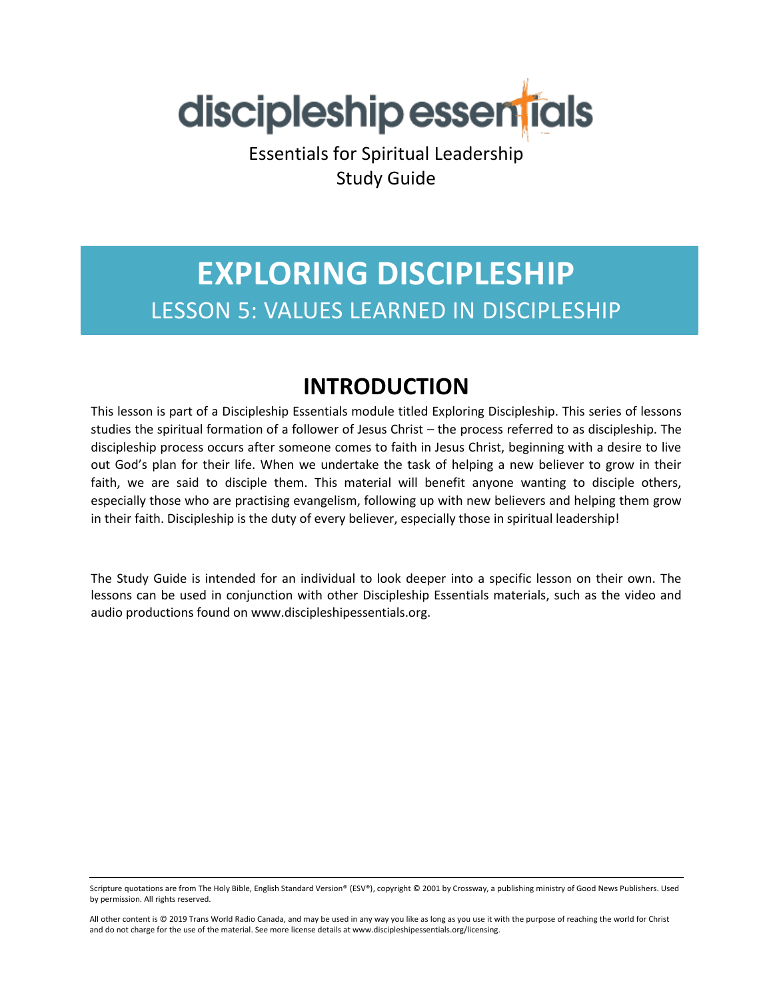

Essentials for Spiritual Leadership Study Guide

## **EXPLORING DISCIPLESHIP** LESSON 5: VALUES LEARNED IN DISCIPLESHIP

### **INTRODUCTION**

This lesson is part of a Discipleship Essentials module titled Exploring Discipleship. This series of lessons studies the spiritual formation of a follower of Jesus Christ – the process referred to as discipleship. The discipleship process occurs after someone comes to faith in Jesus Christ, beginning with a desire to live out God's plan for their life. When we undertake the task of helping a new believer to grow in their faith, we are said to disciple them. This material will benefit anyone wanting to disciple others, especially those who are practising evangelism, following up with new believers and helping them grow in their faith. Discipleship is the duty of every believer, especially those in spiritual leadership!

The Study Guide is intended for an individual to look deeper into a specific lesson on their own. The lessons can be used in conjunction with other Discipleship Essentials materials, such as the video and audio productions found on www.discipleshipessentials.org.

Scripture quotations are from The Holy Bible, English Standard Version® (ESV®), copyright © 2001 by Crossway, a publishing ministry of Good News Publishers. Used by permission. All rights reserved.

All other content is © 2019 Trans World Radio Canada, and may be used in any way you like as long as you use it with the purpose of reaching the world for Christ and do not charge for the use of the material. See more license details at www.discipleshipessentials.org/licensing.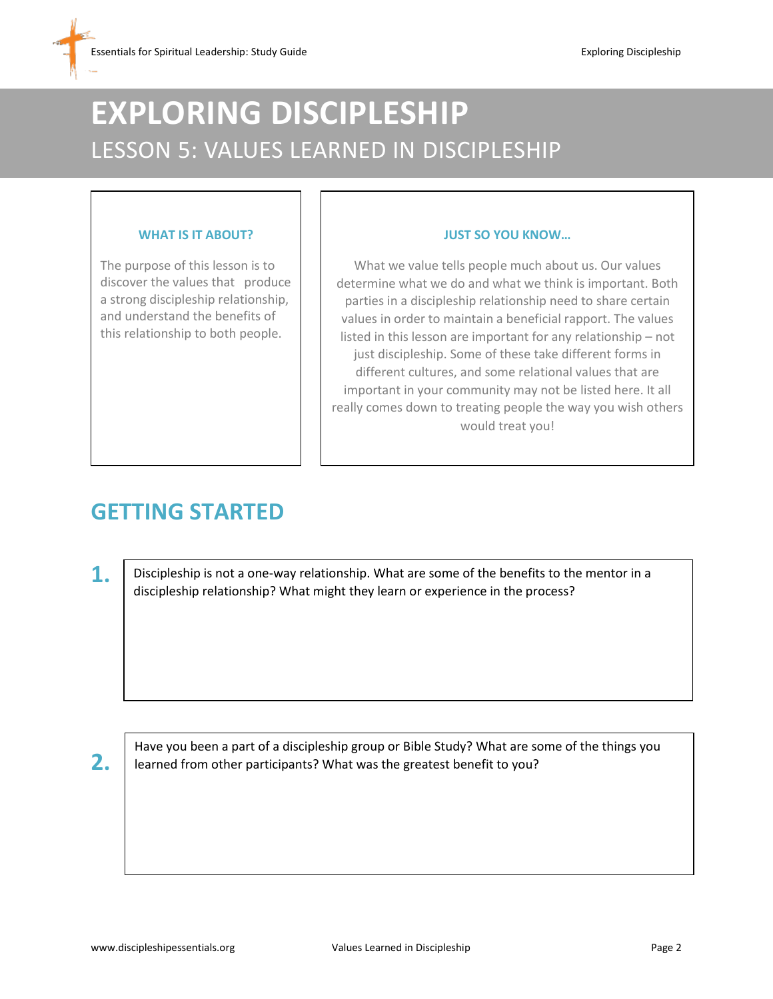# **EXPLORING DISCIPLESHIP** LESSON 5: VALUES LEARNED IN DISCIPLESHIP

### **WHAT IS IT ABOUT?**

The purpose of this lesson is to discover the values that produce a strong discipleship relationship, and understand the benefits of this relationship to both people.

#### **JUST SO YOU KNOW…**

What we value tells people much about us. Our values determine what we do and what we think is important. Both parties in a discipleship relationship need to share certain values in order to maintain a beneficial rapport. The values listed in this lesson are important for any relationship – not just discipleship. Some of these take different forms in different cultures, and some relational values that are important in your community may not be listed here. It all really comes down to treating people the way you wish others would treat you!

### **GETTING STARTED**

**1.** Discipleship is not a one-way relationship. What are some of the benefits to the mentor in a discipleship relationship? What might they learn or experience in the process?

Have you been a part of a discipleship group or Bible Study? What are some of the things you learned from other participants? What was the greatest benefit to you?

**2.**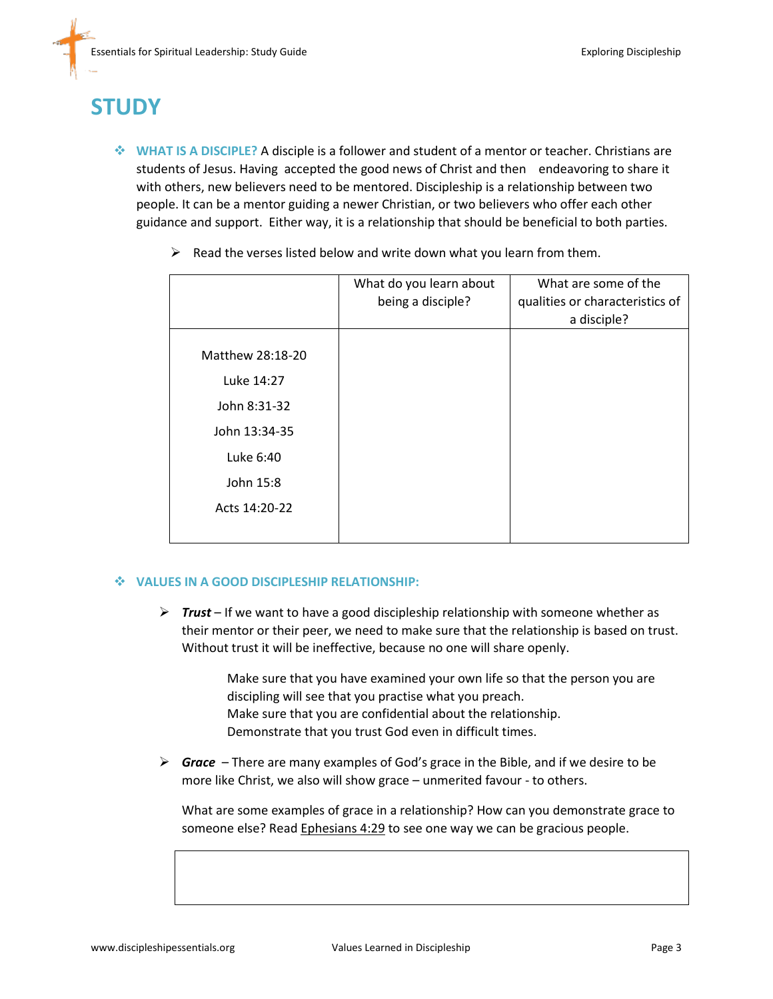## **STUDY**

 **WHAT IS A DISCIPLE?** A disciple is a follower and student of a mentor or teacher. Christians are students of Jesus. Having accepted the good news of Christ and then endeavoring to share it with others, new believers need to be mentored. Discipleship is a relationship between two people. It can be a mentor guiding a newer Christian, or two believers who offer each other guidance and support. Either way, it is a relationship that should be beneficial to both parties.

|                  | What do you learn about | What are some of the            |
|------------------|-------------------------|---------------------------------|
|                  | being a disciple?       | qualities or characteristics of |
|                  |                         | a disciple?                     |
|                  |                         |                                 |
| Matthew 28:18-20 |                         |                                 |
| Luke 14:27       |                         |                                 |
| John 8:31-32     |                         |                                 |
| John 13:34-35    |                         |                                 |
| Luke 6:40        |                         |                                 |
| John 15:8        |                         |                                 |
| Acts 14:20-22    |                         |                                 |
|                  |                         |                                 |

 $\triangleright$  Read the verses listed below and write down what you learn from them.

### **VALUES IN A GOOD DISCIPLESHIP RELATIONSHIP:**

 *Trust* – If we want to have a good discipleship relationship with someone whether as their mentor or their peer, we need to make sure that the relationship is based on trust. Without trust it will be ineffective, because no one will share openly.

> Make sure that you have examined your own life so that the person you are discipling will see that you practise what you preach. Make sure that you are confidential about the relationship. Demonstrate that you trust God even in difficult times.

 *Grace* – There are many examples of God's grace in the Bible, and if we desire to be more like Christ, we also will show grace – unmerited favour - to others.

What are some examples of grace in a relationship? How can you demonstrate grace to someone else? Read Ephesians 4:29 to see one way we can be gracious people.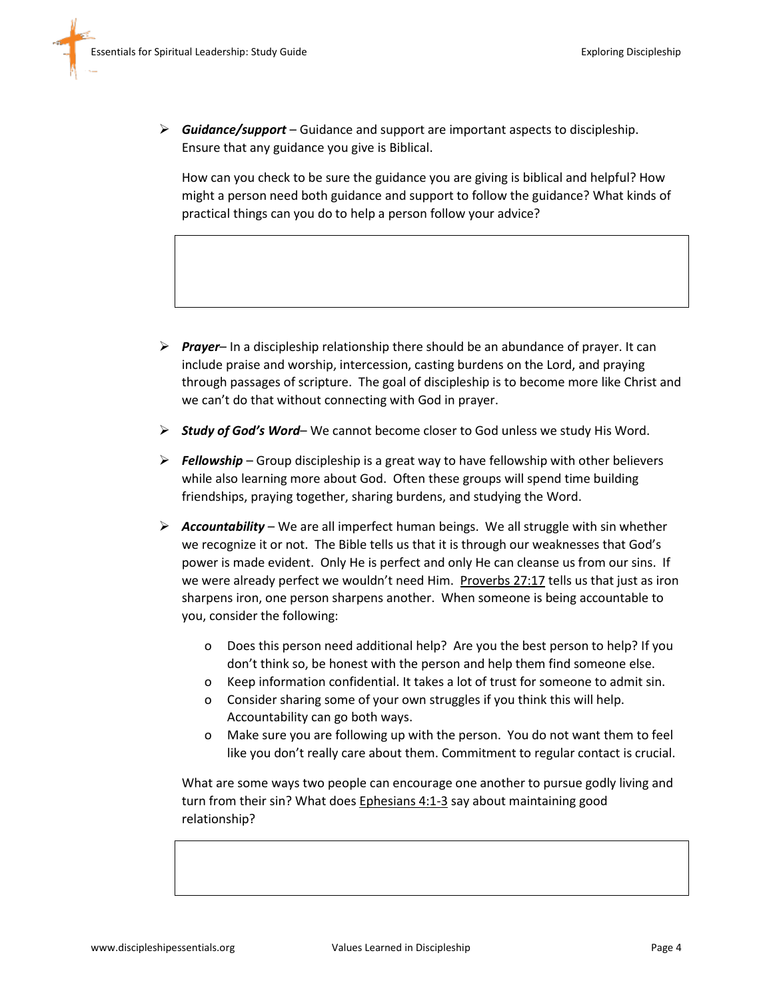*Guidance/support* – Guidance and support are important aspects to discipleship. Ensure that any guidance you give is Biblical.

How can you check to be sure the guidance you are giving is biblical and helpful? How might a person need both guidance and support to follow the guidance? What kinds of practical things can you do to help a person follow your advice?

- *Prayer* In a discipleship relationship there should be an abundance of prayer. It can include praise and worship, intercession, casting burdens on the Lord, and praying through passages of scripture. The goal of discipleship is to become more like Christ and we can't do that without connecting with God in prayer.
- *Study of God's Word* We cannot become closer to God unless we study His Word.
- $\triangleright$  **Fellowship** Group discipleship is a great way to have fellowship with other believers while also learning more about God. Often these groups will spend time building friendships, praying together, sharing burdens, and studying the Word.
- *Accountability* We are all imperfect human beings. We all struggle with sin whether we recognize it or not. The Bible tells us that it is through our weaknesses that God's power is made evident. Only He is perfect and only He can cleanse us from our sins. If we were already perfect we wouldn't need Him. Proverbs 27:17 tells us that just as iron sharpens iron, one person sharpens another. When someone is being accountable to you, consider the following:
	- o Does this person need additional help? Are you the best person to help? If you don't think so, be honest with the person and help them find someone else.
	- o Keep information confidential. It takes a lot of trust for someone to admit sin.
	- o Consider sharing some of your own struggles if you think this will help. Accountability can go both ways.
	- o Make sure you are following up with the person. You do not want them to feel like you don't really care about them. Commitment to regular contact is crucial.

What are some ways two people can encourage one another to pursue godly living and turn from their sin? What does Ephesians 4:1-3 say about maintaining good relationship?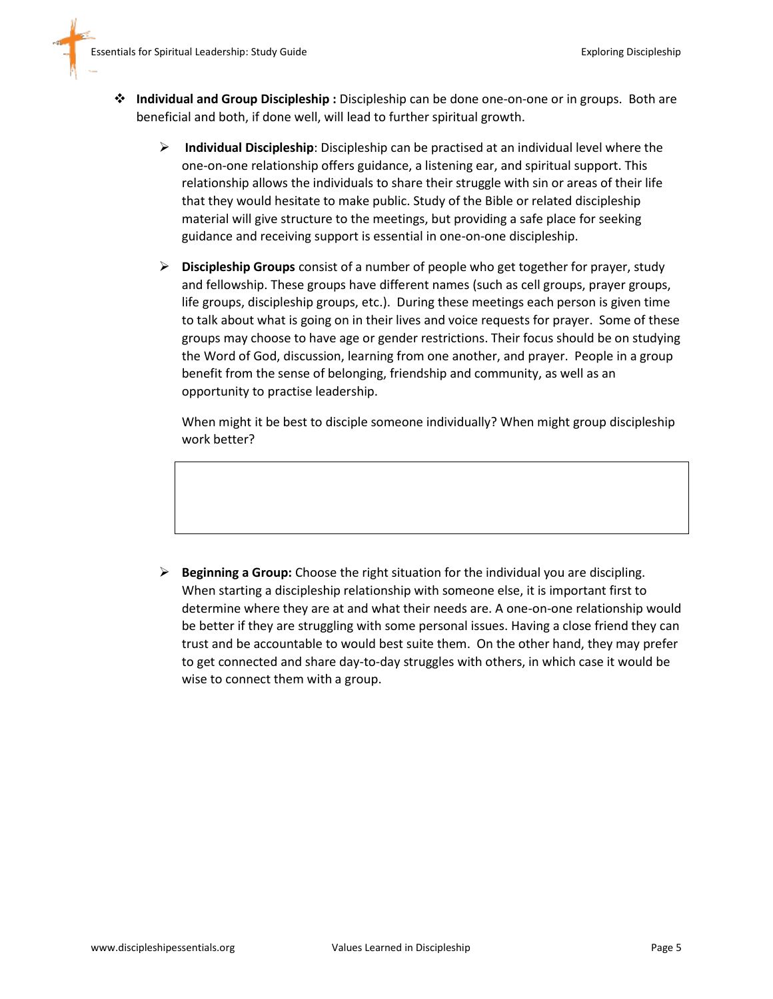Essentials for Spiritual Leadership: Study Guide Exploring Discipleship Exploring Discipleship

- **Individual and Group Discipleship :** Discipleship can be done one-on-one or in groups. Both are beneficial and both, if done well, will lead to further spiritual growth.
	- **Individual Discipleship**: Discipleship can be practised at an individual level where the one-on-one relationship offers guidance, a listening ear, and spiritual support. This relationship allows the individuals to share their struggle with sin or areas of their life that they would hesitate to make public. Study of the Bible or related discipleship material will give structure to the meetings, but providing a safe place for seeking guidance and receiving support is essential in one-on-one discipleship.
	- **Discipleship Groups** consist of a number of people who get together for prayer, study and fellowship. These groups have different names (such as cell groups, prayer groups, life groups, discipleship groups, etc.). During these meetings each person is given time to talk about what is going on in their lives and voice requests for prayer. Some of these groups may choose to have age or gender restrictions. Their focus should be on studying the Word of God, discussion, learning from one another, and prayer. People in a group benefit from the sense of belonging, friendship and community, as well as an opportunity to practise leadership.

When might it be best to disciple someone individually? When might group discipleship work better?

 **Beginning a Group:** Choose the right situation for the individual you are discipling. When starting a discipleship relationship with someone else, it is important first to determine where they are at and what their needs are. A one-on-one relationship would be better if they are struggling with some personal issues. Having a close friend they can trust and be accountable to would best suite them. On the other hand, they may prefer to get connected and share day-to-day struggles with others, in which case it would be wise to connect them with a group.